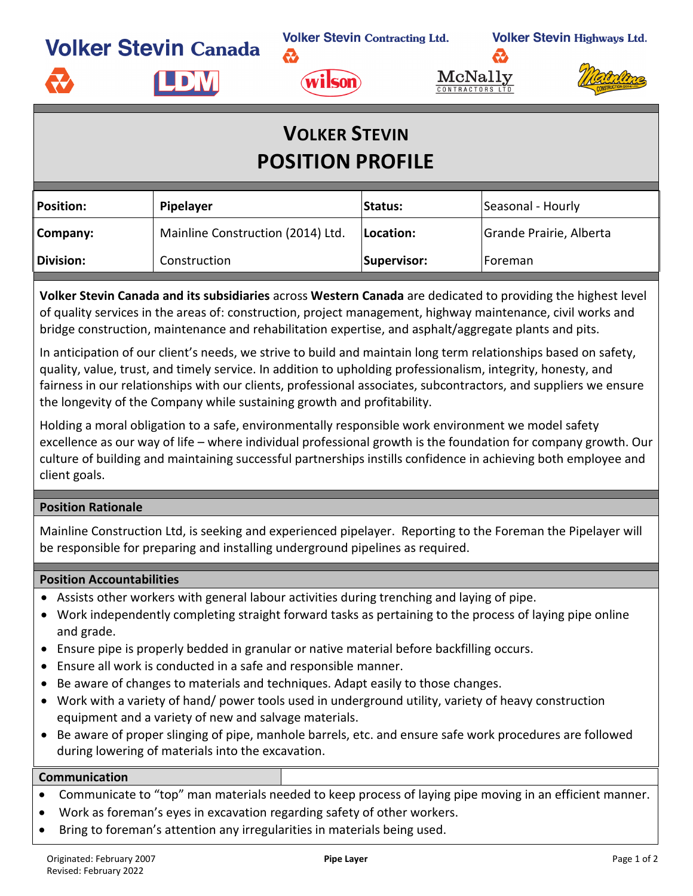**Volker Stevin Canada** 

**Volker Stevin Contracting Ltd.** 

**Volker Stevin Highways Ltd.** 



æ.





## **VOLKER STEVIN POSITION PROFILE**

| <b>Position:</b> | Pipelayer                         |             | Seasonal - Hourly       |  |
|------------------|-----------------------------------|-------------|-------------------------|--|
| Company:         | Mainline Construction (2014) Ltd. | Location:   | Grande Prairie, Alberta |  |
| <b>Division:</b> | Construction                      | Supervisor: | lForeman                |  |

**Volker Stevin Canada and its subsidiaries** across **Western Canada** are dedicated to providing the highest level of quality services in the areas of: construction, project management, highway maintenance, civil works and bridge construction, maintenance and rehabilitation expertise, and asphalt/aggregate plants and pits.

In anticipation of our client's needs, we strive to build and maintain long term relationships based on safety, quality, value, trust, and timely service. In addition to upholding professionalism, integrity, honesty, and fairness in our relationships with our clients, professional associates, subcontractors, and suppliers we ensure the longevity of the Company while sustaining growth and profitability.

Holding a moral obligation to a safe, environmentally responsible work environment we model safety excellence as our way of life – where individual professional growth is the foundation for company growth. Our culture of building and maintaining successful partnerships instills confidence in achieving both employee and client goals.

## **Position Rationale**

Mainline Construction Ltd, is seeking and experienced pipelayer. Reporting to the Foreman the Pipelayer will be responsible for preparing and installing underground pipelines as required.

## **Position Accountabilities**

- Assists other workers with general labour activities during trenching and laying of pipe.
- Work independently completing straight forward tasks as pertaining to the process of laying pipe online and grade.
- Ensure pipe is properly bedded in granular or native material before backfilling occurs.
- Ensure all work is conducted in a safe and responsible manner.
- Be aware of changes to materials and techniques. Adapt easily to those changes.
- Work with a variety of hand/ power tools used in underground utility, variety of heavy construction equipment and a variety of new and salvage materials.
- Be aware of proper slinging of pipe, manhole barrels, etc. and ensure safe work procedures are followed during lowering of materials into the excavation.

## **Communication**

- Communicate to "top" man materials needed to keep process of laying pipe moving in an efficient manner.
- Work as foreman's eyes in excavation regarding safety of other workers.
- Bring to foreman's attention any irregularities in materials being used.